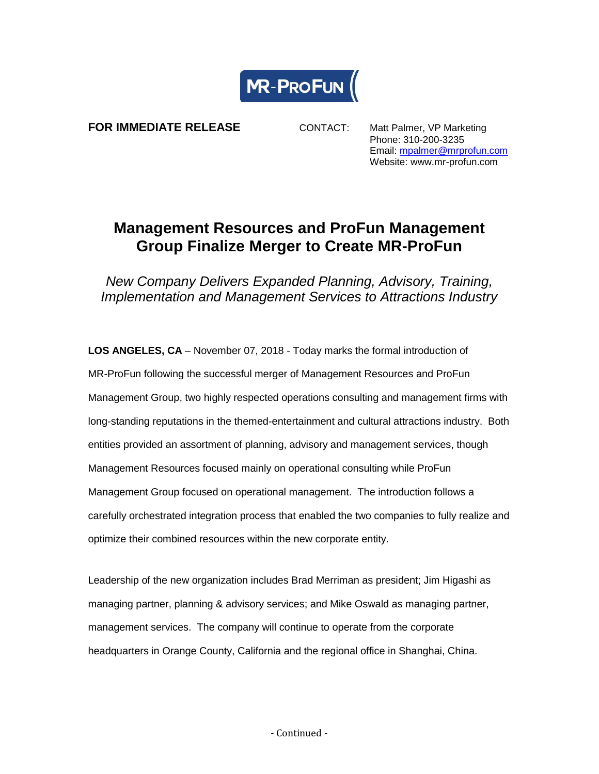

**FOR IMMEDIATE RELEASE CONTACT:** Matt Palmer, VP Marketing

Phone: 310-200-3235 Email: [mpalmer@mrprofun.com](mailto:mpalmer@mrprofun.com) Website: www.mr-profun.com

## **Management Resources and ProFun Management Group Finalize Merger to Create MR-ProFun**

*New Company Delivers Expanded Planning, Advisory, Training, Implementation and Management Services to Attractions Industry*

**LOS ANGELES, CA** – November 07, 2018 - Today marks the formal introduction of MR-ProFun following the successful merger of Management Resources and ProFun Management Group, two highly respected operations consulting and management firms with long-standing reputations in the themed-entertainment and cultural attractions industry. Both entities provided an assortment of planning, advisory and management services, though Management Resources focused mainly on operational consulting while ProFun Management Group focused on operational management. The introduction follows a carefully orchestrated integration process that enabled the two companies to fully realize and optimize their combined resources within the new corporate entity.

Leadership of the new organization includes Brad Merriman as president; Jim Higashi as managing partner, planning & advisory services; and Mike Oswald as managing partner, management services. The company will continue to operate from the corporate headquarters in Orange County, California and the regional office in Shanghai, China.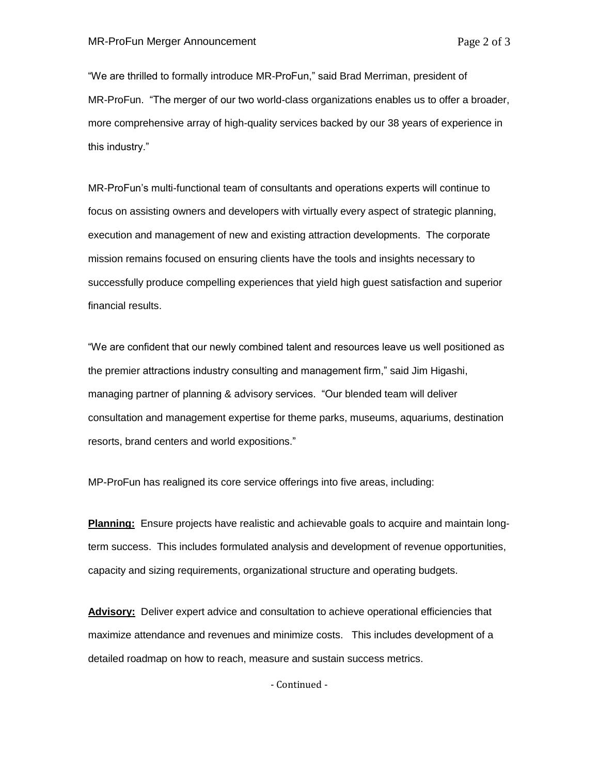"We are thrilled to formally introduce MR-ProFun," said Brad Merriman, president of MR-ProFun. "The merger of our two world-class organizations enables us to offer a broader, more comprehensive array of high-quality services backed by our 38 years of experience in this industry."

MR-ProFun's multi-functional team of consultants and operations experts will continue to focus on assisting owners and developers with virtually every aspect of strategic planning, execution and management of new and existing attraction developments. The corporate mission remains focused on ensuring clients have the tools and insights necessary to successfully produce compelling experiences that yield high guest satisfaction and superior financial results.

"We are confident that our newly combined talent and resources leave us well positioned as the premier attractions industry consulting and management firm," said Jim Higashi, managing partner of planning & advisory services. "Our blended team will deliver consultation and management expertise for theme parks, museums, aquariums, destination resorts, brand centers and world expositions."

MP-ProFun has realigned its core service offerings into five areas, including:

**Planning:** Ensure projects have realistic and achievable goals to acquire and maintain longterm success. This includes formulated analysis and development of revenue opportunities, capacity and sizing requirements, organizational structure and operating budgets.

**Advisory:** Deliver expert advice and consultation to achieve operational efficiencies that maximize attendance and revenues and minimize costs. This includes development of a detailed roadmap on how to reach, measure and sustain success metrics.

- Continued -